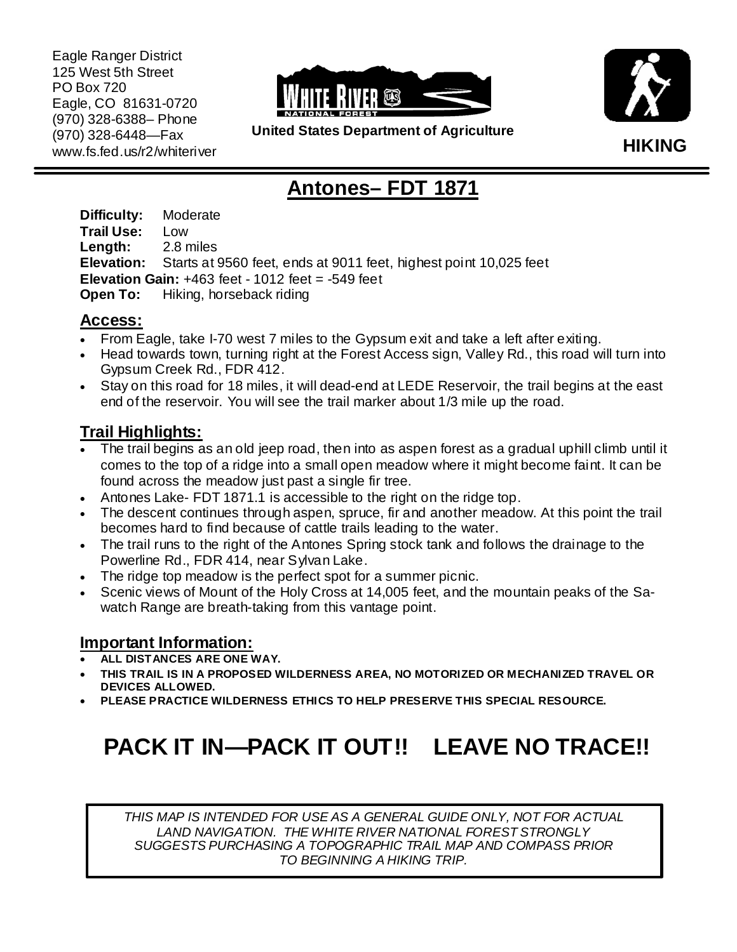Eagle Ranger District 125 West 5th Street PO Box 720 Eagle, CO 81631-0720 (970) 328-6388– Phone (970) 328-6448—Fax www.fs.fed.us/r2/whiteriver





**United States Department of Agriculture** 

# **Antones– FDT 1871**

**Difficulty:** Moderate **Trail Use:** Low **Length:** 2.8 miles **Elevation:** Starts at 9560 feet, ends at 9011 feet, highest point 10,025 feet **Elevation Gain:** +463 feet - 1012 feet = -549 feet **Open To:** Hiking, horseback riding

#### **Access:**

- From Eagle, take I-70 west 7 miles to the Gypsum exit and take a left after exiting.
- Head towards town, turning right at the Forest Access sign, Valley Rd., this road will turn into Gypsum Creek Rd., FDR 412.
- Stay on this road for 18 miles, it will dead-end at LEDE Reservoir, the trail begins at the east end of the reservoir. You will see the trail marker about 1/3 mile up the road.

## **Trail Highlights:**

- The trail begins as an old jeep road, then into as aspen forest as a gradual uphill climb until it comes to the top of a ridge into a small open meadow where it might become faint. It can be found across the meadow just past a single fir tree.
- Antones Lake- FDT 1871.1 is accessible to the right on the ridge top.
- The descent continues through aspen, spruce, fir and another meadow. At this point the trail becomes hard to find because of cattle trails leading to the water.
- The trail runs to the right of the Antones Spring stock tank and follows the drainage to the Powerline Rd., FDR 414, near Sylvan Lake.
- The ridge top meadow is the perfect spot for a summer picnic.
- Scenic views of Mount of the Holy Cross at 14,005 feet, and the mountain peaks of the Sawatch Range are breath-taking from this vantage point.

### **Important Information:**

- **ALL DISTANCES ARE ONE WAY.**
- **THIS TRAIL IS IN A PROPOSED WILDERNESS AREA, NO MOTORIZED OR MECHANIZED TRAVEL OR DEVICES ALLOWED.**
- **PLEASE PRACTICE WILDERNESS ETHICS TO HELP PRESERVE THIS SPECIAL RESOURCE.**

# **PACK IT IN—PACK IT OUT!! LEAVE NO TRACE!!**

*THIS MAP IS INTENDED FOR USE AS A GENERAL GUIDE ONLY, NOT FOR ACTUAL LAND NAVIGATION. THE WHITE RIVER NATIONAL FOREST STRONGLY SUGGESTS PURCHASING A TOPOGRAPHIC TRAIL MAP AND COMPASS PRIOR TO BEGINNING A HIKING TRIP.*